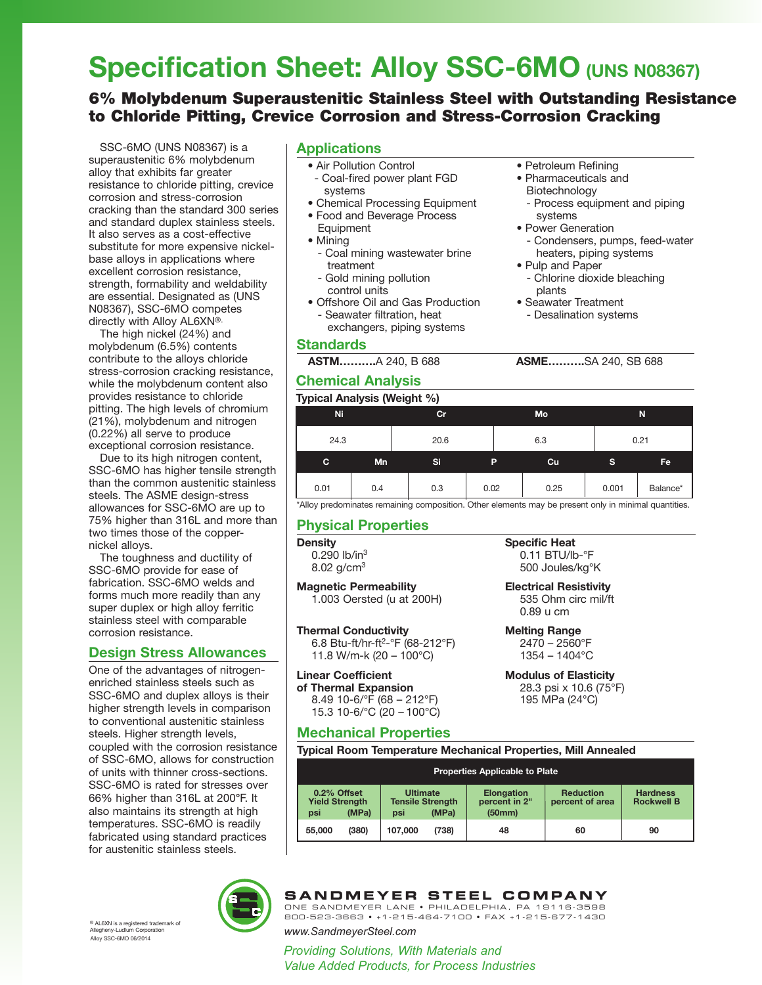# **Specification Sheet: Alloy SSC-6MO (UNS N08367)**

# 6% Molybdenum Superaustenitic Stainless Steel with Outstanding Resistance to Chloride Pitting, Crevice Corrosion and Stress-Corrosion Cracking

SSC-6MO (UNS N08367) is a superaustenitic 6% molybdenum alloy that exhibits far greater resistance to chloride pitting, crevice corrosion and stress-corrosion cracking than the standard 300 series and standard duplex stainless steels. It also serves as a cost-effective substitute for more expensive nickelbase alloys in applications where excellent corrosion resistance, strength, formability and weldability are essential. Designated as (UNS N08367), SSC-6MO competes directly with Alloy AL6XN®.

The high nickel (24%) and molybdenum (6.5%) contents contribute to the alloys chloride stress-corrosion cracking resistance, while the molybdenum content also provides resistance to chloride pitting. The high levels of chromium (21%), molybdenum and nitrogen (0.22%) all serve to produce exceptional corrosion resistance.

Due to its high nitrogen content, SSC-6MO has higher tensile strength than the common austenitic stainless steels. The ASME design-stress allowances for SSC-6MO are up to 75% higher than 316L and more than two times those of the coppernickel alloys.

The toughness and ductility of SSC-6MO provide for ease of fabrication. SSC-6MO welds and forms much more readily than any super duplex or high alloy ferritic stainless steel with comparable corrosion resistance.

# **Design Stress Allowances**

One of the advantages of nitrogenenriched stainless steels such as SSC-6MO and duplex alloys is their higher strength levels in comparison to conventional austenitic stainless steels. Higher strength levels, coupled with the corrosion resistance of SSC-6MO, allows for construction of units with thinner cross-sections. SSC-6MO is rated for stresses over 66% higher than 316L at 200**°**F. It also maintains its strength at high temperatures. SSC-6MO is readily fabricated using standard practices for austenitic stainless steels.

#### systems • Chemical Processing Equipment

• Food and Beverage Process

- Coal-fired power plant FGD

- Equipment • Mining
	- Coal mining wastewater brine treatment
	- Gold mining pollution control units

• Air Pollution Control

**Applications**

- Offshore Oil and Gas Production - Seawater filtration, heat
- exchangers, piping systems

#### **Standards**

# **Chemical Analysis**

- Petroleum Refining
- Pharmaceuticals and
- Biotechnology - Process equipment and piping systems
- Power Generation - Condensers, pumps, feed-water heaters, piping systems
- Pulp and Paper - Chlorine dioxide bleaching plants
- Seawater Treatment
- Desalination systems

**ASTM……….**A 240, B 688 **ASME……….**SA 240, SB 688

| <b>Typical Analysis (Weight %)</b> |     |      |      |      |       |           |  |
|------------------------------------|-----|------|------|------|-------|-----------|--|
| Ni                                 | cr  |      | Mo   |      | N     |           |  |
| 24.3                               |     | 20.6 |      | 6.3  |       | 0.21      |  |
| c                                  | Mn  | Si   | P    | Cu   | s     | <b>Fe</b> |  |
| 0.01                               | 0.4 | 0.3  | 0.02 | 0.25 | 0.001 | Balance*  |  |

\*Alloy predominates remaining composition. Other elements may be present only in minimal quantities.

# **Physical Properties**

### **Density**

0.290 lb/in<sup>3</sup> 8.02  $g/cm^{3}$ 

**Magnetic Permeability**

1.003 Oersted (u at 200H)

#### **Thermal Conductivity**

6.8 Btu-ft/hr-ft2-°F (68-212°F) 11.8 W/m-k (20 – 100°C)

## **Linear Coefficient**

**of Thermal Expansion** 8.49 10-6/°F (68 – 212°F) 15.3 10-6/°C (20 – 100°C)

# **Mechanical Properties**

**Typical Room Temperature Mechanical Properties, Mill Annealed**

| <b>Properties Applicable to Plate</b>       |       |                                                   |       |                                              |                                     |                                      |
|---------------------------------------------|-------|---------------------------------------------------|-------|----------------------------------------------|-------------------------------------|--------------------------------------|
| 0.2% Offset<br><b>Yield Strength</b><br>psi | (MPa) | <b>Ultimate</b><br><b>Tensile Strength</b><br>psi | (MPa) | <b>Elongation</b><br>percent in 2"<br>(50mm) | <b>Reduction</b><br>percent of area | <b>Hardness</b><br><b>Rockwell B</b> |
| 55,000                                      | (380) | 107.000                                           | (738) | 48                                           | 60                                  | 90                                   |



# **SANDMEYER STEEL COMPANY**

ONE SANDMEYER LANE • PHILADELPHIA, PA 19116-3598 800-523-3663 • +1-215-464-7100 • FAX +1-215-677-1430

Allegheny-Ludlum Corporation *www.SandmeyerSteel.com*

*Providing Solutions, With Materials and Value Added Products, for Process Industries*

Alloy SSC-6MO 06/2014 <sup>®</sup> AL6XN is a registered trademark of<br>Allegheny-Ludlum Corporation **Specific Heat** 0.11 BTU/lb-°F 500 Joules/kg°K **Electrical Resistivity**

535 Ohm circ mil/ft 0.89 u cm

#### **Melting Range**

2470 – 2560°F 1354 – 1404°C

#### **Modulus of Elasticity** 28.3 psi x 10.6 (75°F)

195 MPa (24°C)